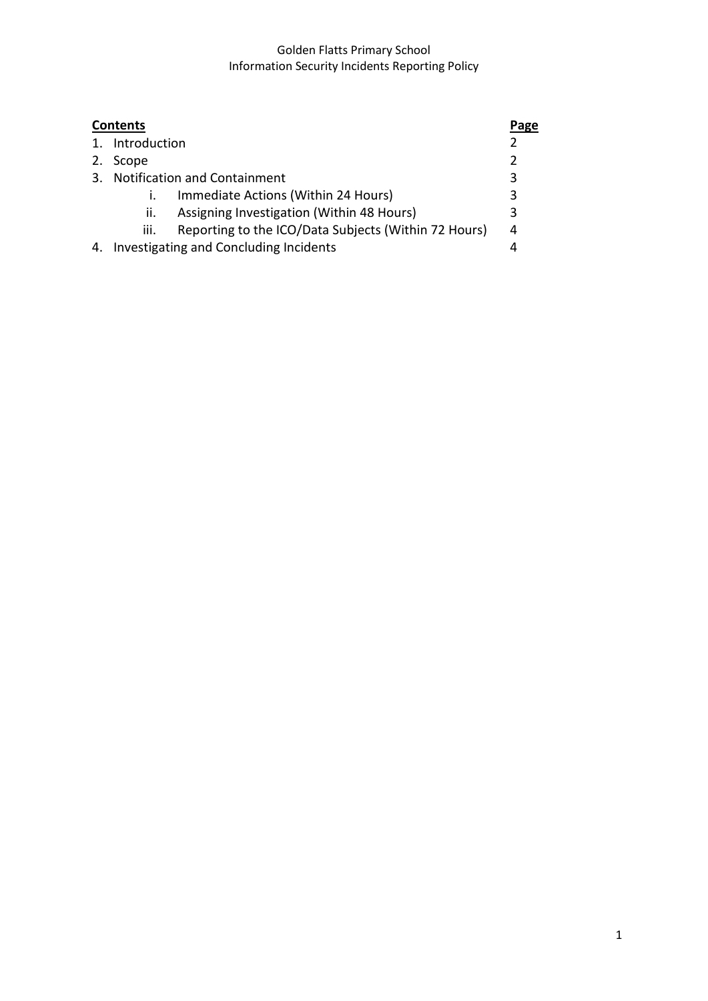| <b>Contents</b> |                                        |                                                      | Page |
|-----------------|----------------------------------------|------------------------------------------------------|------|
| $\mathbf{1}$ .  | Introduction                           |                                                      |      |
| 2.              | $\mathcal{P}$<br>Scope                 |                                                      |      |
|                 | 3. Notification and Containment<br>3   |                                                      |      |
|                 |                                        | Immediate Actions (Within 24 Hours)                  | 3    |
|                 | ii.                                    | Assigning Investigation (Within 48 Hours)            | 3    |
|                 | Ш.                                     | Reporting to the ICO/Data Subjects (Within 72 Hours) | 4    |
|                 | Investigating and Concluding Incidents |                                                      |      |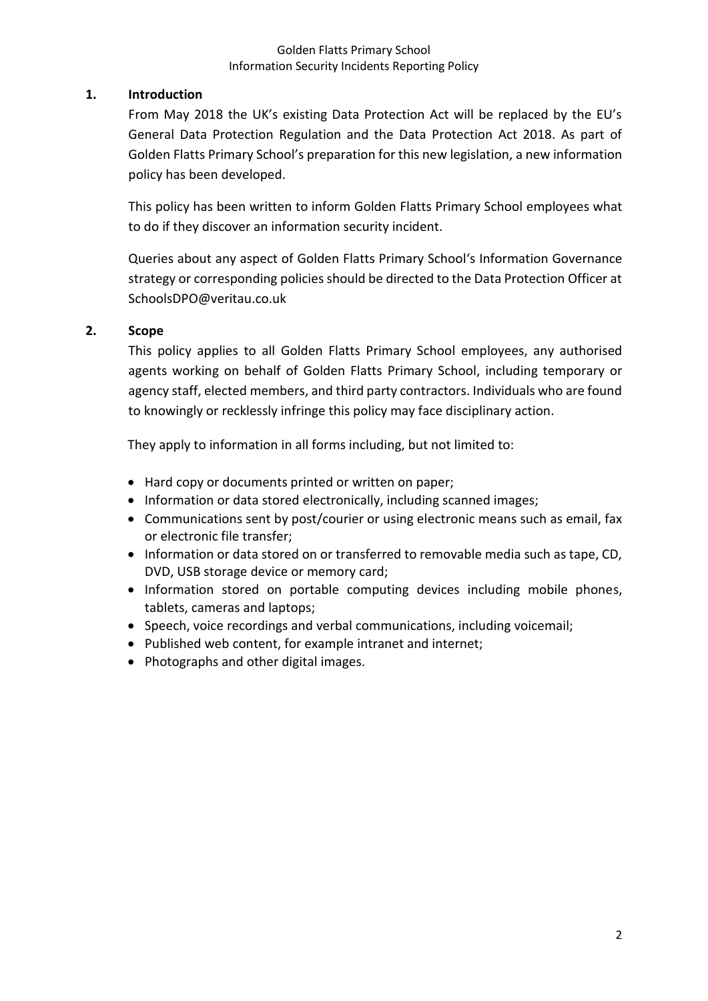## **1. Introduction**

From May 2018 the UK's existing Data Protection Act will be replaced by the EU's General Data Protection Regulation and the Data Protection Act 2018. As part of Golden Flatts Primary School's preparation for this new legislation, a new information policy has been developed.

This policy has been written to inform Golden Flatts Primary School employees what to do if they discover an information security incident.

Queries about any aspect of Golden Flatts Primary School's Information Governance strategy or corresponding policies should be directed to the Data Protection Officer at SchoolsDPO@veritau.co.uk

### **2. Scope**

This policy applies to all Golden Flatts Primary School employees, any authorised agents working on behalf of Golden Flatts Primary School, including temporary or agency staff, elected members, and third party contractors. Individuals who are found to knowingly or recklessly infringe this policy may face disciplinary action.

They apply to information in all forms including, but not limited to:

- Hard copy or documents printed or written on paper;
- Information or data stored electronically, including scanned images;
- Communications sent by post/courier or using electronic means such as email, fax or electronic file transfer;
- Information or data stored on or transferred to removable media such as tape, CD, DVD, USB storage device or memory card;
- Information stored on portable computing devices including mobile phones, tablets, cameras and laptops;
- Speech, voice recordings and verbal communications, including voicemail;
- Published web content, for example intranet and internet;
- Photographs and other digital images.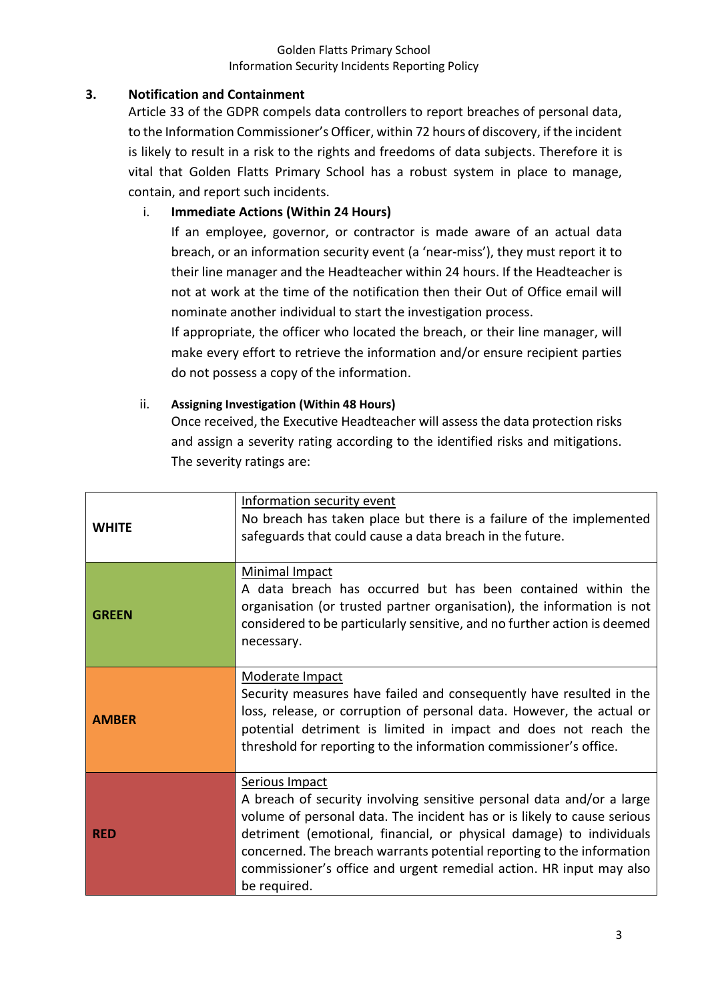# **3. Notification and Containment**

Article 33 of the GDPR compels data controllers to report breaches of personal data, to the Information Commissioner's Officer, within 72 hours of discovery, if the incident is likely to result in a risk to the rights and freedoms of data subjects. Therefore it is vital that Golden Flatts Primary School has a robust system in place to manage, contain, and report such incidents.

# i. **Immediate Actions (Within 24 Hours)**

If an employee, governor, or contractor is made aware of an actual data breach, or an information security event (a 'near-miss'), they must report it to their line manager and the Headteacher within 24 hours. If the Headteacher is not at work at the time of the notification then their Out of Office email will nominate another individual to start the investigation process.

If appropriate, the officer who located the breach, or their line manager, will make every effort to retrieve the information and/or ensure recipient parties do not possess a copy of the information.

## ii. **Assigning Investigation (Within 48 Hours)**

Once received, the Executive Headteacher will assess the data protection risks and assign a severity rating according to the identified risks and mitigations. The severity ratings are:

| <b>WHITE</b> | Information security event<br>No breach has taken place but there is a failure of the implemented<br>safeguards that could cause a data breach in the future.                                                                                                                                                                                                                                             |  |
|--------------|-----------------------------------------------------------------------------------------------------------------------------------------------------------------------------------------------------------------------------------------------------------------------------------------------------------------------------------------------------------------------------------------------------------|--|
| <b>GREEN</b> | Minimal Impact<br>A data breach has occurred but has been contained within the<br>organisation (or trusted partner organisation), the information is not<br>considered to be particularly sensitive, and no further action is deemed<br>necessary.                                                                                                                                                        |  |
| <b>AMBER</b> | Moderate Impact<br>Security measures have failed and consequently have resulted in the<br>loss, release, or corruption of personal data. However, the actual or<br>potential detriment is limited in impact and does not reach the<br>threshold for reporting to the information commissioner's office.                                                                                                   |  |
| <b>RED</b>   | Serious Impact<br>A breach of security involving sensitive personal data and/or a large<br>volume of personal data. The incident has or is likely to cause serious<br>detriment (emotional, financial, or physical damage) to individuals<br>concerned. The breach warrants potential reporting to the information<br>commissioner's office and urgent remedial action. HR input may also<br>be required. |  |